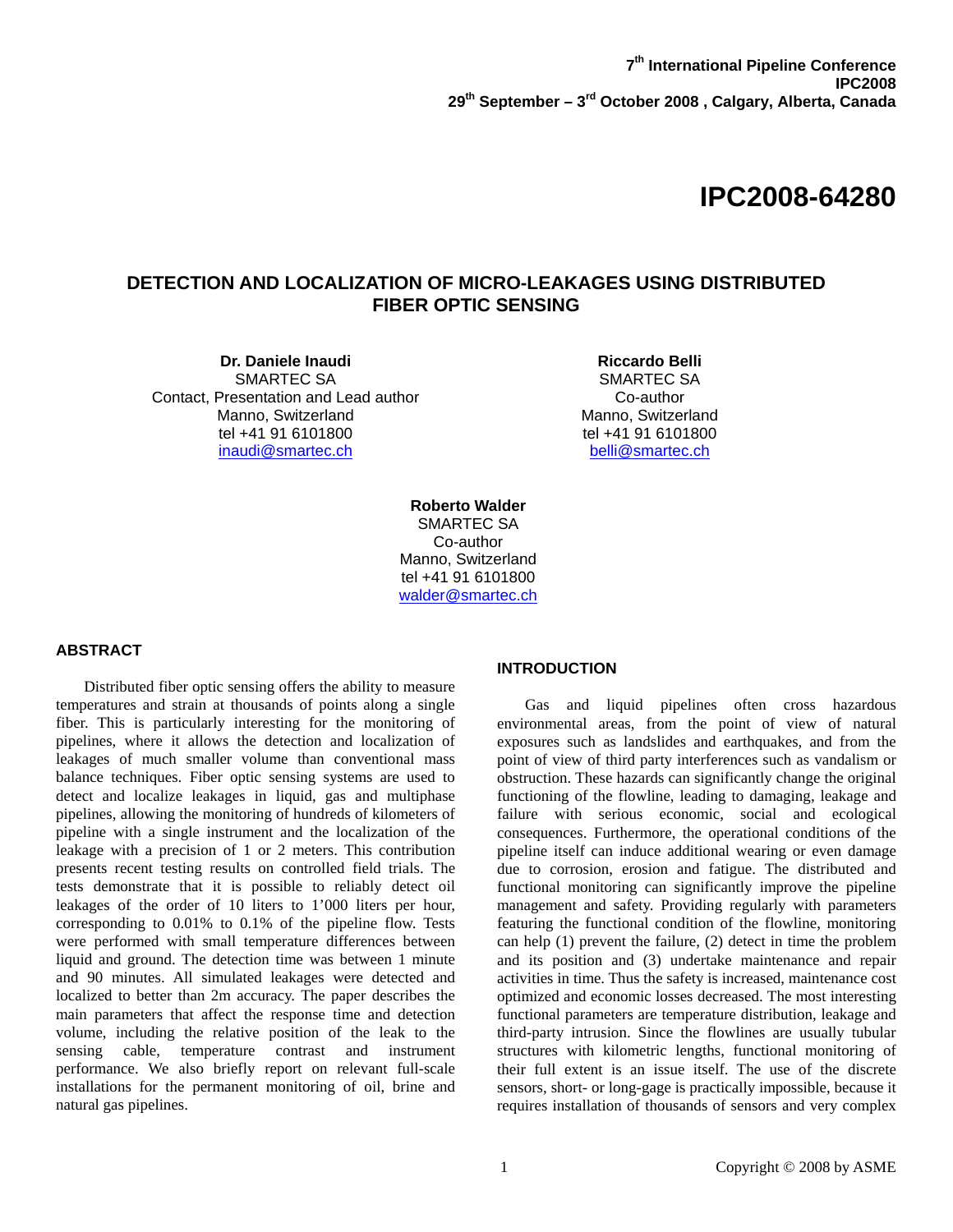# **IPC2008-64280**

# **DETECTION AND LOCALIZATION OF MICRO-LEAKAGES USING DISTRIBUTED FIBER OPTIC SENSING**

**Dr. Daniele Inaudi**  SMARTEC SA Contact, Presentation and Lead author Manno, Switzerland tel +41 91 6101800 inaudi@smartec.ch

**Riccardo Belli**  SMARTEC SA Co-author Manno, Switzerland tel +41 91 6101800 belli@smartec.ch

**Roberto Walder**  SMARTEC SA Co-author Manno, Switzerland tel +41 91 6101800 walder@smartec.ch

# **ABSTRACT**

Distributed fiber optic sensing offers the ability to measure temperatures and strain at thousands of points along a single fiber. This is particularly interesting for the monitoring of pipelines, where it allows the detection and localization of leakages of much smaller volume than conventional mass balance techniques. Fiber optic sensing systems are used to detect and localize leakages in liquid, gas and multiphase pipelines, allowing the monitoring of hundreds of kilometers of pipeline with a single instrument and the localization of the leakage with a precision of 1 or 2 meters. This contribution presents recent testing results on controlled field trials. The tests demonstrate that it is possible to reliably detect oil leakages of the order of 10 liters to 1'000 liters per hour, corresponding to 0.01% to 0.1% of the pipeline flow. Tests were performed with small temperature differences between liquid and ground. The detection time was between 1 minute and 90 minutes. All simulated leakages were detected and localized to better than 2m accuracy. The paper describes the main parameters that affect the response time and detection volume, including the relative position of the leak to the sensing cable, temperature contrast and instrument performance. We also briefly report on relevant full-scale installations for the permanent monitoring of oil, brine and natural gas pipelines.

# **INTRODUCTION**

 Gas and liquid pipelines often cross hazardous environmental areas, from the point of view of natural exposures such as landslides and earthquakes, and from the point of view of third party interferences such as vandalism or obstruction. These hazards can significantly change the original functioning of the flowline, leading to damaging, leakage and failure with serious economic, social and ecological consequences. Furthermore, the operational conditions of the pipeline itself can induce additional wearing or even damage due to corrosion, erosion and fatigue. The distributed and functional monitoring can significantly improve the pipeline management and safety. Providing regularly with parameters featuring the functional condition of the flowline, monitoring can help (1) prevent the failure, (2) detect in time the problem and its position and (3) undertake maintenance and repair activities in time. Thus the safety is increased, maintenance cost optimized and economic losses decreased. The most interesting functional parameters are temperature distribution, leakage and third-party intrusion. Since the flowlines are usually tubular structures with kilometric lengths, functional monitoring of their full extent is an issue itself. The use of the discrete sensors, short- or long-gage is practically impossible, because it requires installation of thousands of sensors and very complex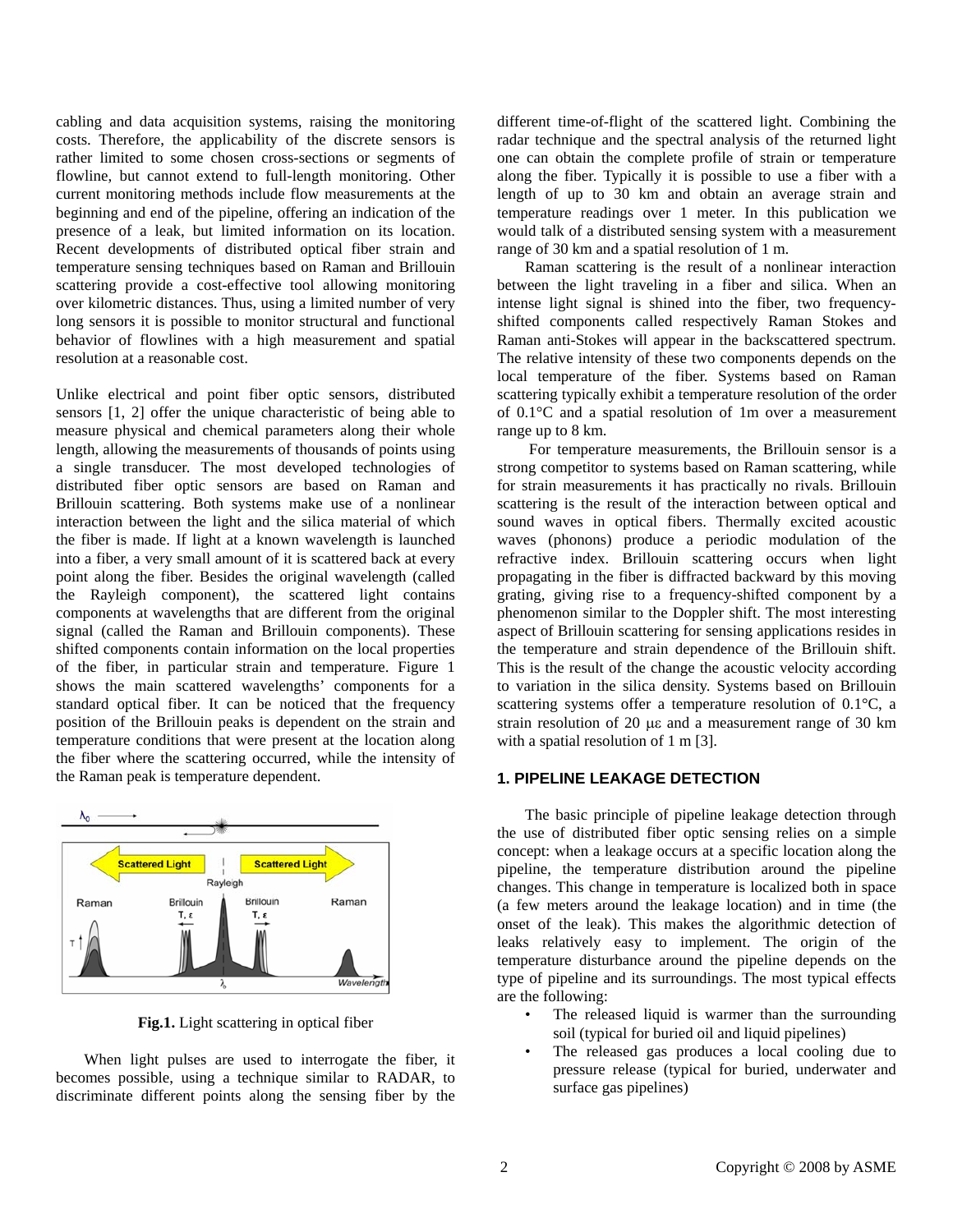cabling and data acquisition systems, raising the monitoring costs. Therefore, the applicability of the discrete sensors is rather limited to some chosen cross-sections or segments of flowline, but cannot extend to full-length monitoring. Other current monitoring methods include flow measurements at the beginning and end of the pipeline, offering an indication of the presence of a leak, but limited information on its location. Recent developments of distributed optical fiber strain and temperature sensing techniques based on Raman and Brillouin scattering provide a cost-effective tool allowing monitoring over kilometric distances. Thus, using a limited number of very long sensors it is possible to monitor structural and functional behavior of flowlines with a high measurement and spatial resolution at a reasonable cost.

Unlike electrical and point fiber optic sensors, distributed sensors [1, 2] offer the unique characteristic of being able to measure physical and chemical parameters along their whole length, allowing the measurements of thousands of points using a single transducer. The most developed technologies of distributed fiber optic sensors are based on Raman and Brillouin scattering. Both systems make use of a nonlinear interaction between the light and the silica material of which the fiber is made. If light at a known wavelength is launched into a fiber, a very small amount of it is scattered back at every point along the fiber. Besides the original wavelength (called the Rayleigh component), the scattered light contains components at wavelengths that are different from the original signal (called the Raman and Brillouin components). These shifted components contain information on the local properties of the fiber, in particular strain and temperature. Figure 1 shows the main scattered wavelengths' components for a standard optical fiber. It can be noticed that the frequency position of the Brillouin peaks is dependent on the strain and temperature conditions that were present at the location along the fiber where the scattering occurred, while the intensity of the Raman peak is temperature dependent.



**Fig.1.** Light scattering in optical fiber

When light pulses are used to interrogate the fiber, it becomes possible, using a technique similar to RADAR, to discriminate different points along the sensing fiber by the different time-of-flight of the scattered light. Combining the radar technique and the spectral analysis of the returned light one can obtain the complete profile of strain or temperature along the fiber. Typically it is possible to use a fiber with a length of up to 30 km and obtain an average strain and temperature readings over 1 meter. In this publication we would talk of a distributed sensing system with a measurement range of 30 km and a spatial resolution of 1 m.

Raman scattering is the result of a nonlinear interaction between the light traveling in a fiber and silica. When an intense light signal is shined into the fiber, two frequencyshifted components called respectively Raman Stokes and Raman anti-Stokes will appear in the backscattered spectrum. The relative intensity of these two components depends on the local temperature of the fiber. Systems based on Raman scattering typically exhibit a temperature resolution of the order of 0.1°C and a spatial resolution of 1m over a measurement range up to 8 km.

 For temperature measurements, the Brillouin sensor is a strong competitor to systems based on Raman scattering, while for strain measurements it has practically no rivals. Brillouin scattering is the result of the interaction between optical and sound waves in optical fibers. Thermally excited acoustic waves (phonons) produce a periodic modulation of the refractive index. Brillouin scattering occurs when light propagating in the fiber is diffracted backward by this moving grating, giving rise to a frequency-shifted component by a phenomenon similar to the Doppler shift. The most interesting aspect of Brillouin scattering for sensing applications resides in the temperature and strain dependence of the Brillouin shift. This is the result of the change the acoustic velocity according to variation in the silica density. Systems based on Brillouin scattering systems offer a temperature resolution of 0.1°C, a strain resolution of 20 με and a measurement range of 30 km with a spatial resolution of 1 m [3].

### **1. PIPELINE LEAKAGE DETECTION**

The basic principle of pipeline leakage detection through the use of distributed fiber optic sensing relies on a simple concept: when a leakage occurs at a specific location along the pipeline, the temperature distribution around the pipeline changes. This change in temperature is localized both in space (a few meters around the leakage location) and in time (the onset of the leak). This makes the algorithmic detection of leaks relatively easy to implement. The origin of the temperature disturbance around the pipeline depends on the type of pipeline and its surroundings. The most typical effects are the following:

- The released liquid is warmer than the surrounding soil (typical for buried oil and liquid pipelines)
- The released gas produces a local cooling due to pressure release (typical for buried, underwater and surface gas pipelines)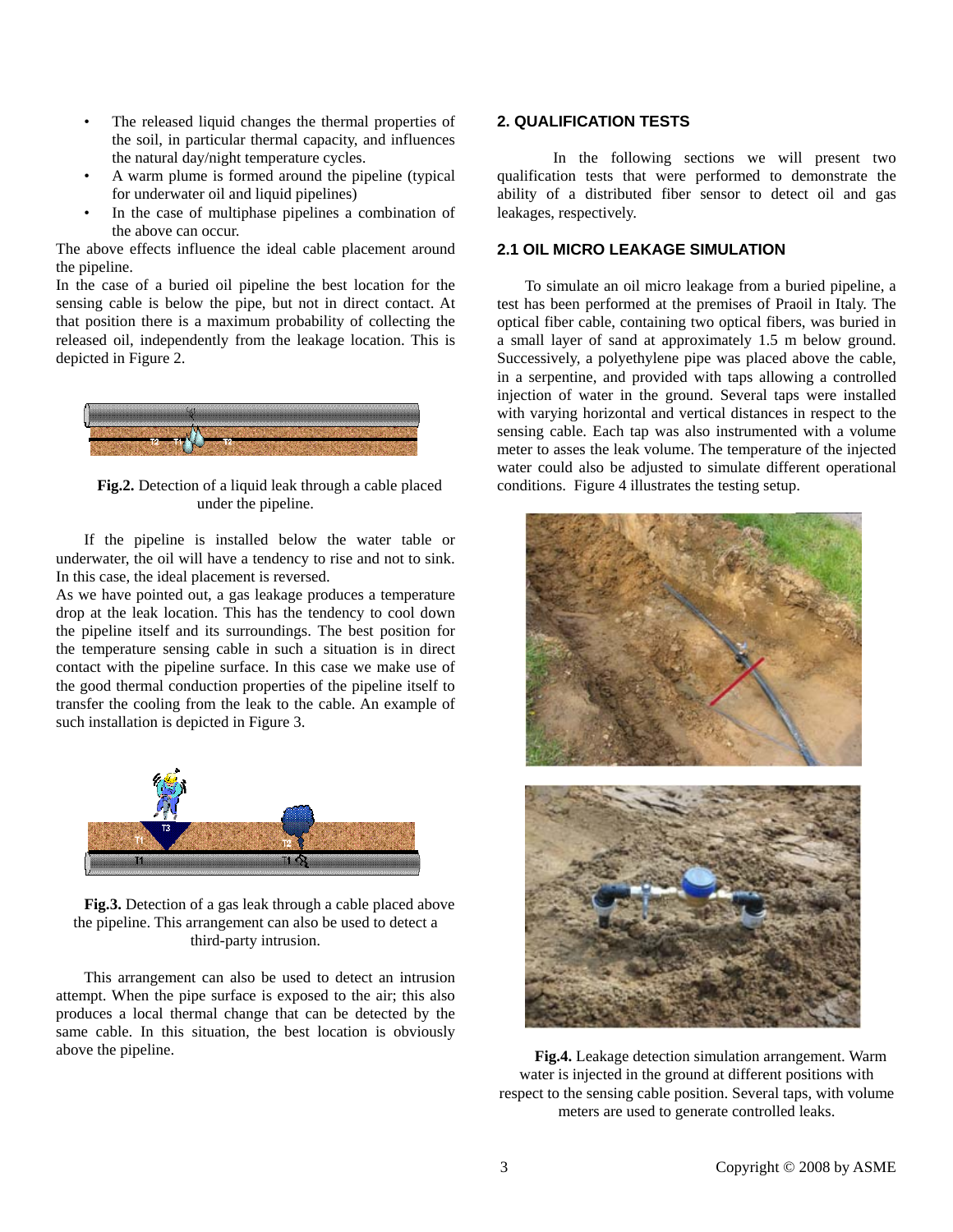- The released liquid changes the thermal properties of the soil, in particular thermal capacity, and influences the natural day/night temperature cycles.
- A warm plume is formed around the pipeline (typical for underwater oil and liquid pipelines)
- In the case of multiphase pipelines a combination of the above can occur.

The above effects influence the ideal cable placement around the pipeline.

In the case of a buried oil pipeline the best location for the sensing cable is below the pipe, but not in direct contact. At that position there is a maximum probability of collecting the released oil, independently from the leakage location. This is depicted in Figure 2.



**Fig.2.** Detection of a liquid leak through a cable placed under the pipeline.

If the pipeline is installed below the water table or underwater, the oil will have a tendency to rise and not to sink. In this case, the ideal placement is reversed.

As we have pointed out, a gas leakage produces a temperature drop at the leak location. This has the tendency to cool down the pipeline itself and its surroundings. The best position for the temperature sensing cable in such a situation is in direct contact with the pipeline surface. In this case we make use of the good thermal conduction properties of the pipeline itself to transfer the cooling from the leak to the cable. An example of such installation is depicted in Figure 3.



**Fig.3.** Detection of a gas leak through a cable placed above the pipeline. This arrangement can also be used to detect a third-party intrusion.

This arrangement can also be used to detect an intrusion attempt. When the pipe surface is exposed to the air; this also produces a local thermal change that can be detected by the same cable. In this situation, the best location is obviously above the pipeline.

# **2. QUALIFICATION TESTS**

 In the following sections we will present two qualification tests that were performed to demonstrate the ability of a distributed fiber sensor to detect oil and gas leakages, respectively.

# **2.1 OIL MICRO LEAKAGE SIMULATION**

To simulate an oil micro leakage from a buried pipeline, a test has been performed at the premises of Praoil in Italy. The optical fiber cable, containing two optical fibers, was buried in a small layer of sand at approximately 1.5 m below ground. Successively, a polyethylene pipe was placed above the cable, in a serpentine, and provided with taps allowing a controlled injection of water in the ground. Several taps were installed with varying horizontal and vertical distances in respect to the sensing cable. Each tap was also instrumented with a volume meter to asses the leak volume. The temperature of the injected water could also be adjusted to simulate different operational conditions. Figure 4 illustrates the testing setup.



**Fig.4.** Leakage detection simulation arrangement. Warm water is injected in the ground at different positions with respect to the sensing cable position. Several taps, with volume meters are used to generate controlled leaks.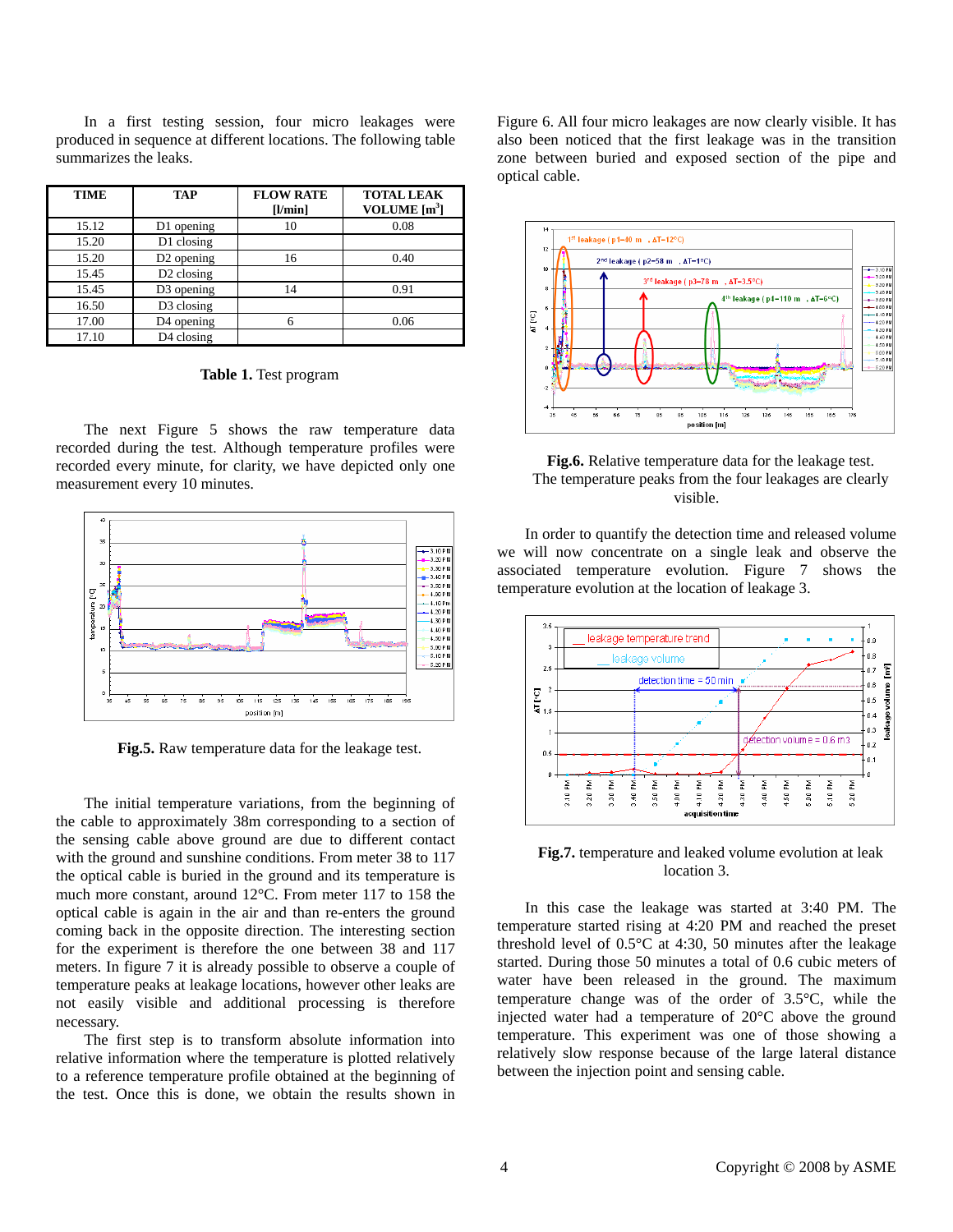In a first testing session, four micro leakages were produced in sequence at different locations. The following table summarizes the leaks.

| TIME  | TAP                    | <b>FLOW RATE</b> | <b>TOTAL LEAK</b> |
|-------|------------------------|------------------|-------------------|
|       |                        | [1/min]          | VOLUME $[m3]$     |
| 15.12 | D1 opening             | 10               | 0.08              |
| 15.20 | D1 closing             |                  |                   |
| 15.20 | D <sub>2</sub> opening | 16               | 0.40              |
| 15.45 | D <sub>2</sub> closing |                  |                   |
| 15.45 | D <sub>3</sub> opening | 14               | 0.91              |
| 16.50 | D3 closing             |                  |                   |
| 17.00 | D4 opening             | 6                | 0.06              |
| 17.10 | D4 closing             |                  |                   |

**Table 1.** Test program

The next Figure 5 shows the raw temperature data recorded during the test. Although temperature profiles were recorded every minute, for clarity, we have depicted only one measurement every 10 minutes.



**Fig.5.** Raw temperature data for the leakage test.

The initial temperature variations, from the beginning of the cable to approximately 38m corresponding to a section of the sensing cable above ground are due to different contact with the ground and sunshine conditions. From meter 38 to 117 the optical cable is buried in the ground and its temperature is much more constant, around 12°C. From meter 117 to 158 the optical cable is again in the air and than re-enters the ground coming back in the opposite direction. The interesting section for the experiment is therefore the one between 38 and 117 meters. In figure 7 it is already possible to observe a couple of temperature peaks at leakage locations, however other leaks are not easily visible and additional processing is therefore necessary.

The first step is to transform absolute information into relative information where the temperature is plotted relatively to a reference temperature profile obtained at the beginning of the test. Once this is done, we obtain the results shown in

Figure 6. All four micro leakages are now clearly visible. It has also been noticed that the first leakage was in the transition zone between buried and exposed section of the pipe and optical cable.



**Fig.6.** Relative temperature data for the leakage test. The temperature peaks from the four leakages are clearly visible.

In order to quantify the detection time and released volume we will now concentrate on a single leak and observe the associated temperature evolution. Figure 7 shows the temperature evolution at the location of leakage 3.



**Fig.7.** temperature and leaked volume evolution at leak location 3.

In this case the leakage was started at 3:40 PM. The temperature started rising at 4:20 PM and reached the preset threshold level of 0.5°C at 4:30, 50 minutes after the leakage started. During those 50 minutes a total of 0.6 cubic meters of water have been released in the ground. The maximum temperature change was of the order of 3.5°C, while the injected water had a temperature of 20°C above the ground temperature. This experiment was one of those showing a relatively slow response because of the large lateral distance between the injection point and sensing cable.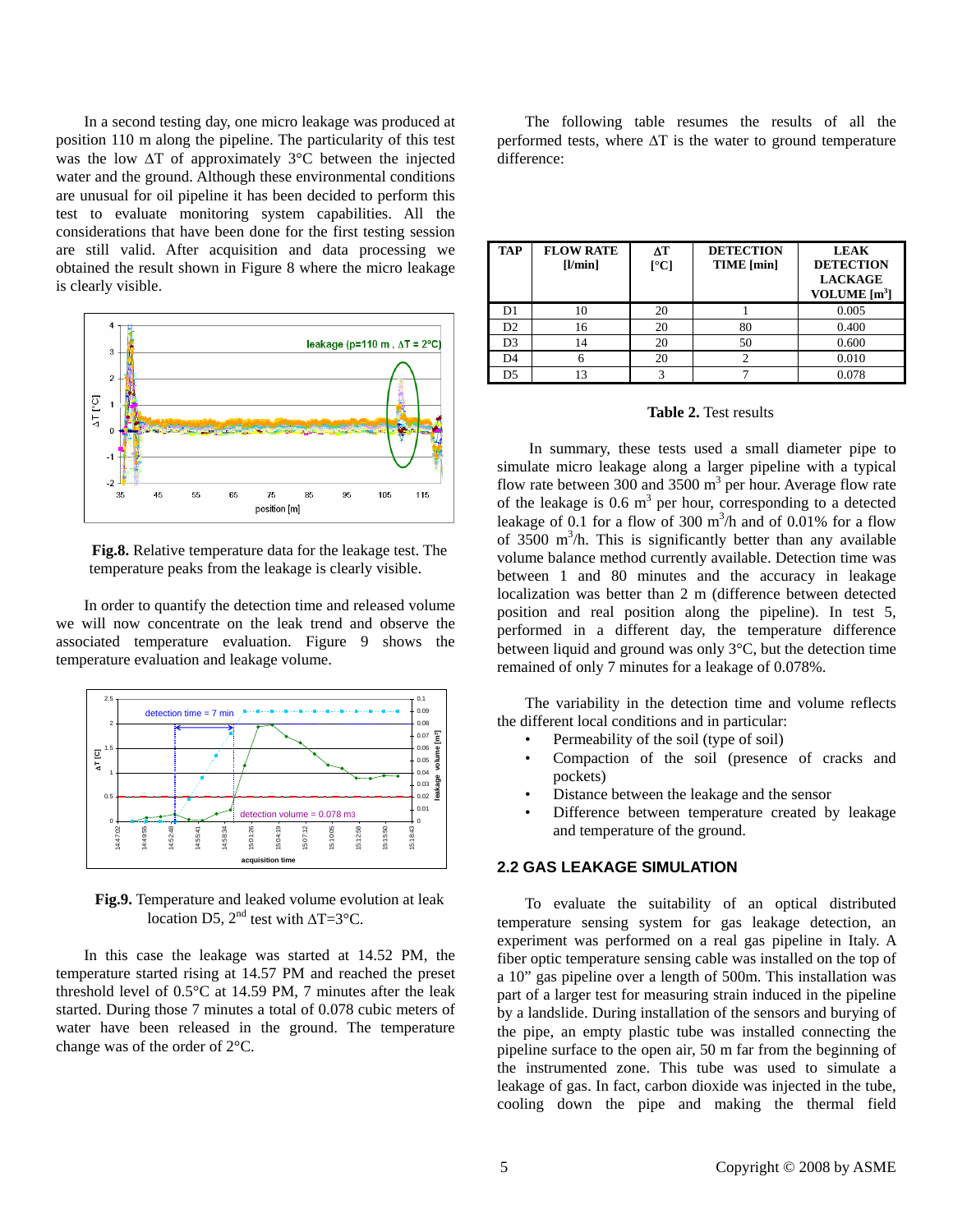In a second testing day, one micro leakage was produced at position 110 m along the pipeline. The particularity of this test was the low  $\Delta T$  of approximately 3°C between the injected water and the ground. Although these environmental conditions are unusual for oil pipeline it has been decided to perform this test to evaluate monitoring system capabilities. All the considerations that have been done for the first testing session are still valid. After acquisition and data processing we obtained the result shown in Figure 8 where the micro leakage is clearly visible.



**Fig.8.** Relative temperature data for the leakage test. The temperature peaks from the leakage is clearly visible.

In order to quantify the detection time and released volume we will now concentrate on the leak trend and observe the associated temperature evaluation. Figure 9 shows the temperature evaluation and leakage volume.



**Fig.9.** Temperature and leaked volume evolution at leak location D5,  $2<sup>nd</sup>$  test with  $\Delta T = 3^{\circ}C$ .

In this case the leakage was started at 14.52 PM, the temperature started rising at 14.57 PM and reached the preset threshold level of 0.5°C at 14.59 PM, 7 minutes after the leak started. During those 7 minutes a total of 0.078 cubic meters of water have been released in the ground. The temperature change was of the order of 2°C.

The following table resumes the results of all the performed tests, where  $\Delta T$  is the water to ground temperature difference:

| <b>TAP</b>     | <b>FLOW RATE</b><br>[1/min] | ΔT<br>$\Gamma$ <sup>o</sup> Cl | <b>DETECTION</b><br>TIME [min] | <b>LEAK</b><br><b>DETECTION</b><br><b>LACKAGE</b><br>VOLUME $[m3]$ |
|----------------|-----------------------------|--------------------------------|--------------------------------|--------------------------------------------------------------------|
| D <sub>1</sub> | 10                          | 20                             |                                | 0.005                                                              |
| D2             | 16                          | 20                             | 80                             | 0.400                                                              |
| D <sub>3</sub> | 14                          | 20                             | 50                             | 0.600                                                              |
| D4             |                             | 20                             |                                | 0.010                                                              |
| D5             |                             |                                |                                | 0.078                                                              |

#### **Table 2.** Test results

 In summary, these tests used a small diameter pipe to simulate micro leakage along a larger pipeline with a typical flow rate between 300 and 3500  $m^3$  per hour. Average flow rate of the leakage is  $0.6 \text{ m}^3$  per hour, corresponding to a detected leakage of 0.1 for a flow of 300  $\text{m}^3$ /h and of 0.01% for a flow of  $3500 \text{ m}^3$ /h. This is significantly better than any available volume balance method currently available. Detection time was between 1 and 80 minutes and the accuracy in leakage localization was better than 2 m (difference between detected position and real position along the pipeline). In test 5, performed in a different day, the temperature difference between liquid and ground was only 3°C, but the detection time remained of only 7 minutes for a leakage of 0.078%.

The variability in the detection time and volume reflects the different local conditions and in particular:

- Permeability of the soil (type of soil)
- Compaction of the soil (presence of cracks and pockets)
- Distance between the leakage and the sensor
- Difference between temperature created by leakage and temperature of the ground.

#### **2.2 GAS LEAKAGE SIMULATION**

To evaluate the suitability of an optical distributed temperature sensing system for gas leakage detection, an experiment was performed on a real gas pipeline in Italy. A fiber optic temperature sensing cable was installed on the top of a 10" gas pipeline over a length of 500m. This installation was part of a larger test for measuring strain induced in the pipeline by a landslide. During installation of the sensors and burying of the pipe, an empty plastic tube was installed connecting the pipeline surface to the open air, 50 m far from the beginning of the instrumented zone. This tube was used to simulate a leakage of gas. In fact, carbon dioxide was injected in the tube, cooling down the pipe and making the thermal field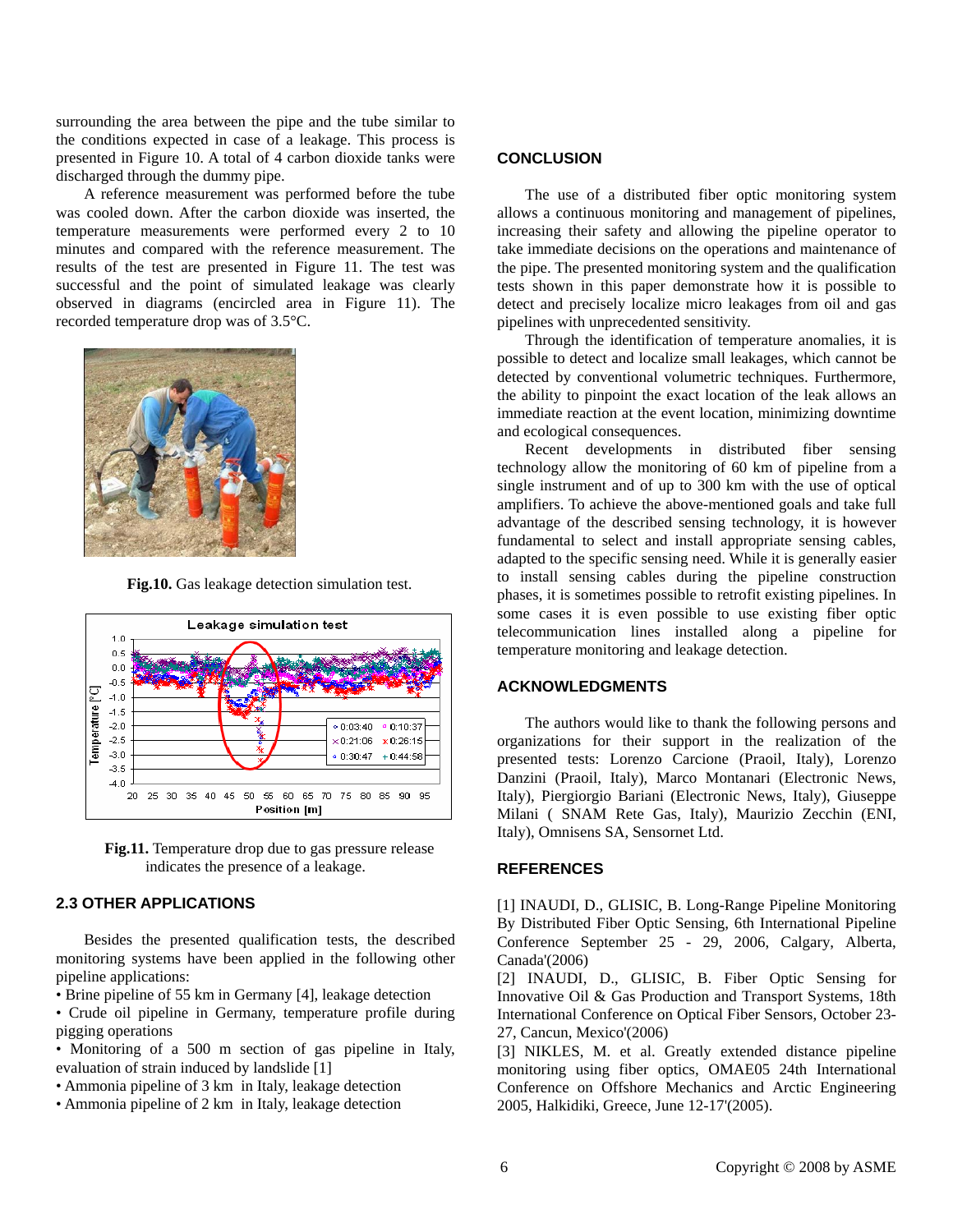surrounding the area between the pipe and the tube similar to the conditions expected in case of a leakage. This process is presented in Figure 10. A total of 4 carbon dioxide tanks were discharged through the dummy pipe.

A reference measurement was performed before the tube was cooled down. After the carbon dioxide was inserted, the temperature measurements were performed every 2 to 10 minutes and compared with the reference measurement. The results of the test are presented in Figure 11. The test was successful and the point of simulated leakage was clearly observed in diagrams (encircled area in Figure 11). The recorded temperature drop was of 3.5°C.



**Fig.10.** Gas leakage detection simulation test.



**Fig.11.** Temperature drop due to gas pressure release indicates the presence of a leakage.

## **2.3 OTHER APPLICATIONS**

Besides the presented qualification tests, the described monitoring systems have been applied in the following other pipeline applications:

• Brine pipeline of 55 km in Germany [4], leakage detection

• Crude oil pipeline in Germany, temperature profile during pigging operations

- Monitoring of a 500 m section of gas pipeline in Italy, evaluation of strain induced by landslide [1]
- Ammonia pipeline of 3 km in Italy, leakage detection
- Ammonia pipeline of 2 km in Italy, leakage detection

#### **CONCLUSION**

The use of a distributed fiber optic monitoring system allows a continuous monitoring and management of pipelines, increasing their safety and allowing the pipeline operator to take immediate decisions on the operations and maintenance of the pipe. The presented monitoring system and the qualification tests shown in this paper demonstrate how it is possible to detect and precisely localize micro leakages from oil and gas pipelines with unprecedented sensitivity.

Through the identification of temperature anomalies, it is possible to detect and localize small leakages, which cannot be detected by conventional volumetric techniques. Furthermore, the ability to pinpoint the exact location of the leak allows an immediate reaction at the event location, minimizing downtime and ecological consequences.

Recent developments in distributed fiber sensing technology allow the monitoring of 60 km of pipeline from a single instrument and of up to 300 km with the use of optical amplifiers. To achieve the above-mentioned goals and take full advantage of the described sensing technology, it is however fundamental to select and install appropriate sensing cables, adapted to the specific sensing need. While it is generally easier to install sensing cables during the pipeline construction phases, it is sometimes possible to retrofit existing pipelines. In some cases it is even possible to use existing fiber optic telecommunication lines installed along a pipeline for temperature monitoring and leakage detection.

#### **ACKNOWLEDGMENTS**

The authors would like to thank the following persons and organizations for their support in the realization of the presented tests: Lorenzo Carcione (Praoil, Italy), Lorenzo Danzini (Praoil, Italy), Marco Montanari (Electronic News, Italy), Piergiorgio Bariani (Electronic News, Italy), Giuseppe Milani ( SNAM Rete Gas, Italy), Maurizio Zecchin (ENI, Italy), Omnisens SA, Sensornet Ltd.

#### **REFERENCES**

[1] INAUDI, D., GLISIC, B. Long-Range Pipeline Monitoring By Distributed Fiber Optic Sensing, 6th International Pipeline Conference September 25 - 29, 2006, Calgary, Alberta, Canada'(2006)

[2] INAUDI, D., GLISIC, B. Fiber Optic Sensing for Innovative Oil & Gas Production and Transport Systems, 18th International Conference on Optical Fiber Sensors, October 23- 27, Cancun, Mexico'(2006)

[3] NIKLES, M. et al. Greatly extended distance pipeline monitoring using fiber optics, OMAE05 24th International Conference on Offshore Mechanics and Arctic Engineering 2005, Halkidiki, Greece, June 12-17'(2005).